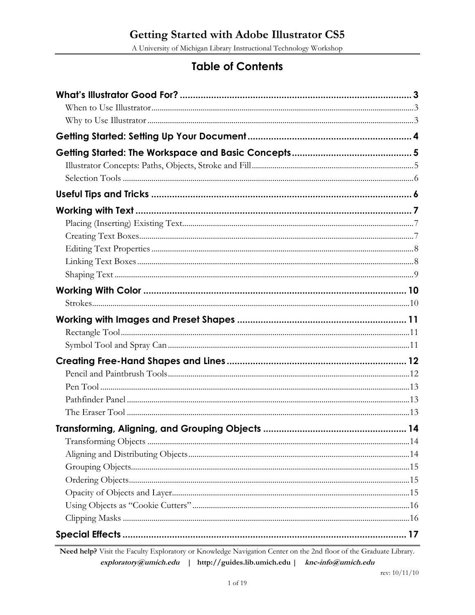A University of Michigan Library Instructional Technology Workshop

# **Table of Contents**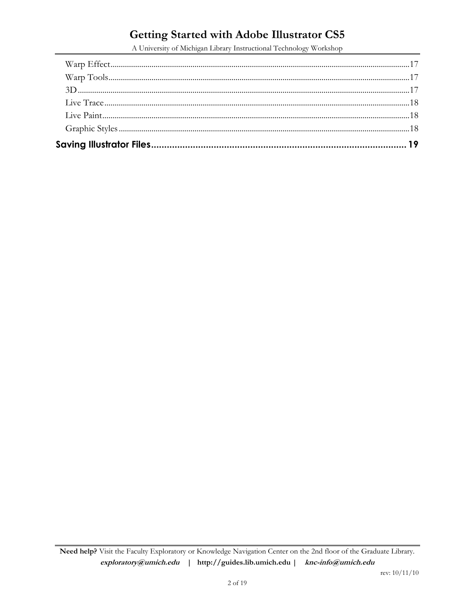A University of Michigan Library Instructional Technology Workshop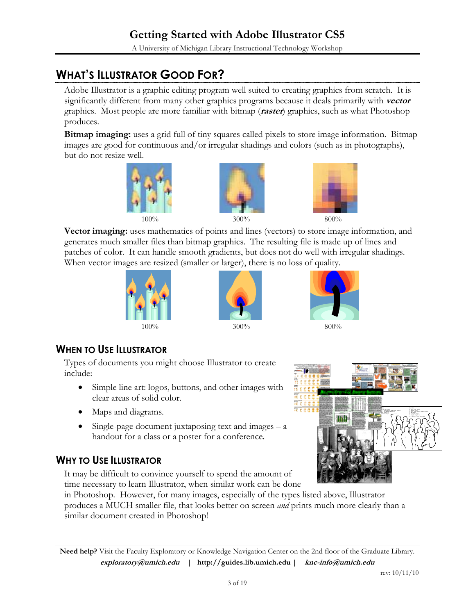# **WHAT'S ILLUSTRATOR GOOD FOR?**

Adobe Illustrator is a graphic editing program well suited to creating graphics from scratch. It is significantly different from many other graphics programs because it deals primarily with **vector**  graphics. Most people are more familiar with bitmap (**raster**) graphics, such as what Photoshop produces.

**Bitmap imaging:** uses a grid full of tiny squares called pixels to store image information. Bitmap images are good for continuous and/or irregular shadings and colors (such as in photographs), but do not resize well.







**Vector imaging:** uses mathematics of points and lines (vectors) to store image information, and generates much smaller files than bitmap graphics. The resulting file is made up of lines and patches of color. It can handle smooth gradients, but does not do well with irregular shadings. When vector images are resized (smaller or larger), there is no loss of quality.







### **WHEN TO USE ILLUSTRATOR**

Types of documents you might choose Illustrator to create include:

- Simple line art: logos, buttons, and other images with clear areas of solid color.
- Maps and diagrams.
- Single-page document juxtaposing text and images a handout for a class or a poster for a conference.

### **WHY TO USE ILLUSTRATOR**

It may be difficult to convince yourself to spend the amount of time necessary to learn Illustrator, when similar work can be done



in Photoshop. However, for many images, especially of the types listed above, Illustrator produces a MUCH smaller file, that looks better on screen *and* prints much more clearly than a similar document created in Photoshop!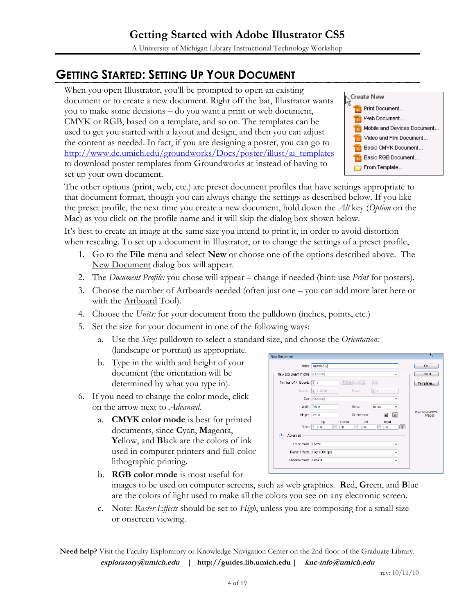A University of Michigan Library Instructional Technology Workshop

# **GETTING STARTED: SETTING UP YOUR DOCUMENT**

When you open Illustrator, you'll be prompted to open an existing document or to create a new document. Right off the bat, Illustrator wants you to make some decisions – do you want a print or web document, CMYK or RGB, based on a template, and so on. The templates can be used to get you started with a layout and design, and then you can adjust the content as needed. In fact, if you are designing a poster, you can go to [http://www.dc.umich.edu/groundworks/Docs/poster/illust/ai\\_templates](http://www.dc.umich.edu/groundworks/Docs/poster/illust/ai_templates) to download poster templates from Groundworks at instead of having to set up your own document.



The other options (print, web, etc.) are preset document profiles that have settings appropriate to that document format, though you can always change the settings as described below. If you like the preset profile, the next time you create a new document, hold down the *Alt* key (*Option* on the Mac) as you click on the profile name and it will skip the dialog box shown below.

It's best to create an image at the same size you intend to print it, in order to avoid distortion when rescaling. To set up a document in Illustrator, or to change the settings of a preset profile,

- 1. Go to the **File** menu and select **New** or choose one of the options described above. The New Document dialog box will appear.
- 2. The *Document Profile:* you chose will appear change if needed (hint: use *Print* for posters).
- 3. Choose the number of Artboards needed (often just one you can add more later here or with the <u>Artboard</u> Tool).
- 4. Choose the *Units:* for your document from the pulldown (inches, points, etc.)
- 5. Set the size for your document in one of the following ways:
	- a. Use the *Size:* pulldown to select a standard size, and choose the *Orientation:* (landscape or portrait) as appropriate.
	- b. Type in the width and height of your document (the orientation will be determined by what you type in).
- 6. If you need to change the color mode, click on the arrow next to *Advanced*.
	- a. **CMYK color mode** is best for printed documents, since **C**yan, **M**agenta, **Y**ellow, and **B**lack are the colors of ink used in computer printers and full-color lithographic printing.



- b. **RGB color mode** is most useful for images to be used on computer screens, such as web graphics. **R**ed, **G**reen, and **B**lue are the colors of light used to make all the colors you see on any electronic screen.
- c. Note: *Raster Effects* should be set to *High*, unless you are composing for a small size or onscreen viewing.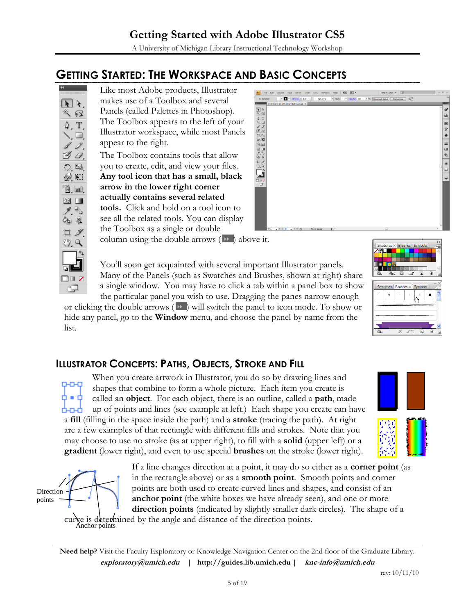A University of Michigan Library Instructional Technology Workshop

# **GETTING STARTED: THE WORKSPACE AND BASIC CONCEPTS**



Like most Adobe products, Illustrator makes use of a Toolbox and several Panels (called Palettes in Photoshop). The Toolbox appears to the left of your Illustrator workspace, while most Panels appear to the right.

The Toolbox contains tools that allow you to create, edit, and view your files. **Any tool icon that has a small, black arrow in the lower right corner actually contains several related tools.** Click and hold on a tool icon to see all the related tools. You can display the Toolbox as a single or double



column using the double arrows  $($  $\blacktriangleright$   $)$  above it.

You'll soon get acquainted with several important Illustrator panels. Many of the Panels (such as Swatches and Brushes, shown at right) share a single window. You may have to click a tab within a panel box to show the particular panel you wish to use. Dragging the panes narrow enough

or clicking the double arrows  $(\mathbf{v})$  will switch the panel to icon mode. To show or hide any panel, go to the **Window** menu, and choose the panel by name from the list.

|    | Swatches $\times$ Brushes Symbols |   |   |    |   |  |
|----|-----------------------------------|---|---|----|---|--|
| ļ4 |                                   |   |   |    |   |  |
|    |                                   |   |   |    |   |  |
|    | Ψв.                               | 医 |   | ha | 甯 |  |
|    | Swatches $Brushes \times Symbols$ |   |   |    |   |  |
|    |                                   |   |   |    |   |  |
|    |                                   |   | ī |    |   |  |
|    |                                   |   |   |    |   |  |
|    |                                   |   |   |    |   |  |
|    |                                   |   |   |    |   |  |
|    |                                   |   |   |    |   |  |

### **ILLUSTRATOR CONCEPTS: PATHS, OBJECTS, STROKE AND FILL**

When you create artwork in Illustrator, you do so by drawing lines and **D-D-D** shapes that combine to form a whole picture. Each item you create is • 6 called an **object**. For each object, there is an outline, called a **path**, made up of points and lines (see example at left.) Each shape you create can have 山 山 a **fill** (filling in the space inside the path) and a **stroke** (tracing the path). At right are a few examples of that rectangle with different fills and strokes. Note that you may choose to use no stroke (as at upper right), to fill with a **solid** (upper left) or a **gradient** (lower right), and even to use special **brushes** on the stroke (lower right).





Anchor points

If a line changes direction at a point, it may do so either as a **corner point** (as in the rectangle above) or as a **smooth point**. Smooth points and corner points are both used to create curved lines and shapes, and consist of an **anchor point** (the white boxes we have already seen), and one or more **direction points** (indicated by slightly smaller dark circles). The shape of a ge is determined by the angle and distance of the direction points.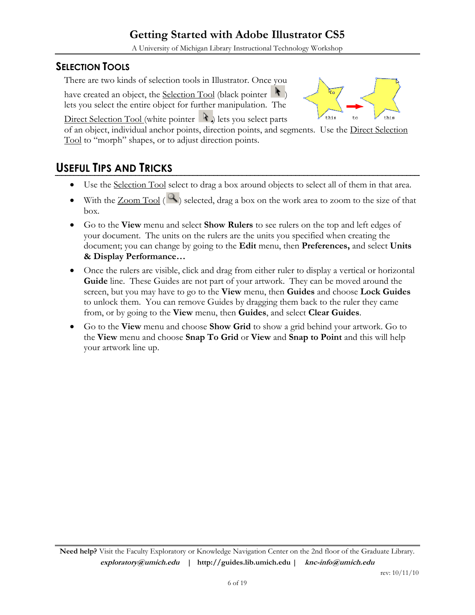A University of Michigan Library Instructional Technology Workshop

#### **SELECTION TOOLS**

There are two kinds of selection tools in Illustrator. Once you

have created an object, the Selection Tool (black pointer  $\|\cdot\|$ ) lets you select the entire object for further manipulation. The



Direct Selection Tool (white pointer  $\mathcal{A}$ ) lets you select parts

of an object, individual anchor points, direction points, and segments. Use the Direct Selection Tool to "morph" shapes, or to adjust direction points.

# **USEFUL TIPS AND TRICKS**

- Use the Selection Tool select to drag a box around objects to select all of them in that area.
- With the  $\mathsf{Zoom~Tool}$  ( $\mathsf{R}$ ) selected, drag a box on the work area to zoom to the size of that box.
- Go to the **View** menu and select **Show Rulers** to see rulers on the top and left edges of your document. The units on the rulers are the units you specified when creating the document; you can change by going to the **Edit** menu, then **Preferences,** and select **Units & Display Performance…**
- Once the rulers are visible, click and drag from either ruler to display a vertical or horizontal **Guide** line. These Guides are not part of your artwork. They can be moved around the screen, but you may have to go to the **View** menu, then **Guides** and choose **Lock Guides** to unlock them. You can remove Guides by dragging them back to the ruler they came from, or by going to the **View** menu, then **Guides**, and select **Clear Guides**.
- Go to the **View** menu and choose **Show Grid** to show a grid behind your artwork. Go to the **View** menu and choose **Snap To Grid** or **View** and **Snap to Point** and this will help your artwork line up.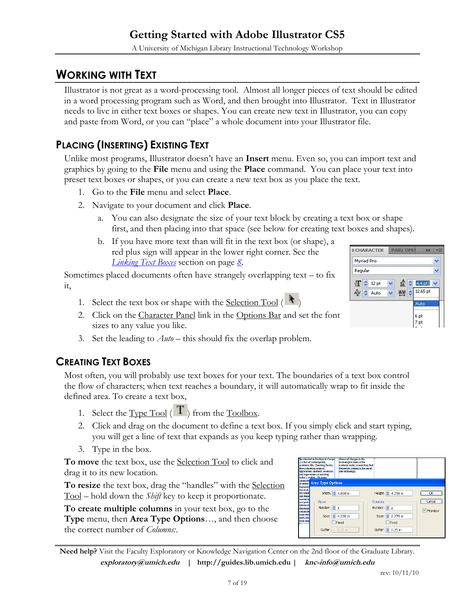# **WORKING WITH TEXT**

Illustrator is not great as a word-processing tool. Almost all longer pieces of text should be edited in a word processing program such as Word, and then brought into Illustrator. Text in Illustrator needs to live in either text boxes or shapes. You can create new text in Illustrator, you can copy and paste from Word, or you can "place" a whole document into your Illustrator file.

# **PLACING (INSERTING) EXISTING TEXT**

Unlike most programs, Illustrator doesn't have an **Insert** menu. Even so, you can import text and graphics by going to the **File** menu and using the **Place** command. You can place your text into preset text boxes or shapes, or you can create a new text box as you place the text.

- 1. Go to the **File** menu and select **Place**.
- 2. Navigate to your document and click **Place**.
	- a. You can also designate the size of your text block by creating a text box or shape first, and then placing into that space (see below for creating text boxes and shapes).
	- b. If you have more text than will fit in the text box (or shape), a red plus sign will appear in the lower right corner. See the *[Linking Text Boxes](#page-7-0)* section on page *[8](#page-7-0)*.

Sometimes placed documents often have strangely overlapping text – to fix it,

- 1. Select the text box or shape with the <u>Selection Tool</u>  $($
- 2. Click on the Character Panel link in the Options Bar and set the font sizes to any value you like.
- 3. Set the leading to *Auto* this should fix the overlap problem.

### **CREATING TEXT BOXES**

Most often, you will probably use text boxes for your text. The boundaries of a text box control the flow of characters; when text reaches a boundary, it will automatically wrap to fit inside the defined area. To create a text box,

- 1. Select the Type Tool ( $\overline{\text{T}}$ ) from the Toolbox.
- 2. Click and drag on the document to define a text box. If you simply click and start typing, you will get a line of text that expands as you keep typing rather than wrapping.
- 3. Type in the box.

**To move** the text box, use the Selection Tool to click and drag it to its new location.

**To resize** the text box, drag the "handles" with the Selection Tool – hold down the *Shift* key to keep it proportionate.

**To create multiple columns** in your text box, go to the **Type** menu, then **Area Type Options**…, and then choose the correct number of *Columns:*.



| ассередиев всплоются свапуе<br>a fact of contemporary<br>academic life Teaching faculty<br>face a daunting range of<br>arolications, methods, resources,<br>and expectations in teaching<br>today's student On many | <b>REFAST OF CRABBELL TRA</b><br>technological tools of the<br>scademic trade; instead they find<br>themselves sinking in the sea of<br>new technology. |                                                                                                             |                         |
|---------------------------------------------------------------------------------------------------------------------------------------------------------------------------------------------------------------------|---------------------------------------------------------------------------------------------------------------------------------------------------------|-------------------------------------------------------------------------------------------------------------|-------------------------|
| <b>STILLET Area Type Options</b>                                                                                                                                                                                    |                                                                                                                                                         |                                                                                                             |                         |
| hanhazar<br>the work<br>are usuall<br>and dema<br>mentoring<br><b>Rows</b><br>and nartic<br>administr<br>Number: $\frac{1}{2}$ 1<br>departme<br>committe<br>more that<br>work day<br>little time<br>Gutter: 0.25 in | Width: $\div$ 4.808 in<br>Span: $\left  \right\rangle$ 4.238 in<br>$\Box$ Fixed                                                                         | Height: 3 4,238 in<br>Columns<br>Number: 0 2<br>Span: $\hat{Q}$ 2.279 in<br>$\Box$ Fixed<br>Gutter: 0.25 in | OK<br>Cancel<br>Preview |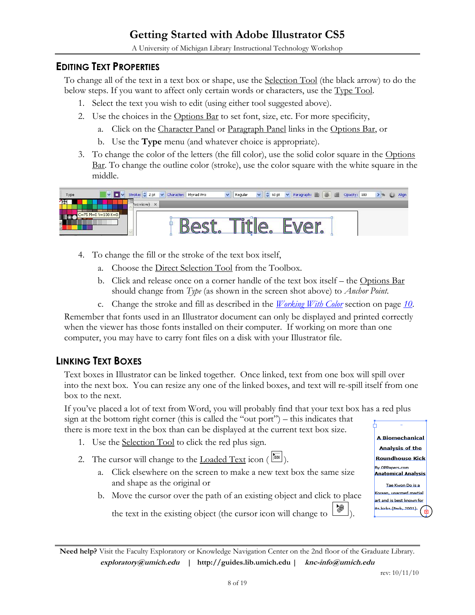A University of Michigan Library Instructional Technology Workshop

#### **EDITING TEXT PROPERTIES**

To change all of the text in a text box or shape, use the Selection Tool (the black arrow) to do the below steps. If you want to affect only certain words or characters, use the Type Tool.

- 1. Select the text you wish to edit (using either tool suggested above).
- 2. Use the choices in the Options Bar to set font, size, etc. For more specificity,
	- a. Click on the Character Panel or Paragraph Panel links in the Options Bar, or
	- b. Use the **Type** menu (and whatever choice is appropriate).
- 3. To change the color of the letters (the fill color), use the solid color square in the Options Bar. To change the outline color (stroke), use the color square with the white square in the middle.



- 4. To change the fill or the stroke of the text box itself,
	- a. Choose the Direct Selection Tool from the Toolbox.
	- b. Click and release once on a corner handle of the text box itself the Options Bar should change from *Type* (as shown in the screen shot above) to *Anchor Point*.
	- c. Change the stroke and fill as described in the *[Working With Color](#page-9-0)* section on page *[10](#page-9-0)*.

Remember that fonts used in an Illustrator document can only be displayed and printed correctly when the viewer has those fonts installed on their computer. If working on more than one computer, you may have to carry font files on a disk with your Illustrator file.

#### <span id="page-7-0"></span>**LINKING TEXT BOXES**

Text boxes in Illustrator can be linked together. Once linked, text from one box will spill over into the next box. You can resize any one of the linked boxes, and text will re-spill itself from one box to the next.

If you've placed a lot of text from Word, you will probably find that your text box has a red plus sign at the bottom right corner (this is called the "out port") – this indicates that there is more text in the box than can be displayed at the current text box size.

- 1. Use the Selection Tool to click the red plus sign.
- 2. The cursor will change to the <u>Loaded Text</u> icon  $(\sqrt{|\mathbf{F}|})$ .
	- a. Click elsewhere on the screen to make a new text box the same size and shape as the original or
	- b. Move the cursor over the path of an existing object and click to place

**A Biomechanical Analysis of the Roundhouse Kick By OPPaners.com Anatomical Analysis** Tae Kwon Do is a an, unarmed martial art and is best known for its kicks (Park, 2001)<mark>.</mark>

the text in the existing object (the cursor icon will change to ).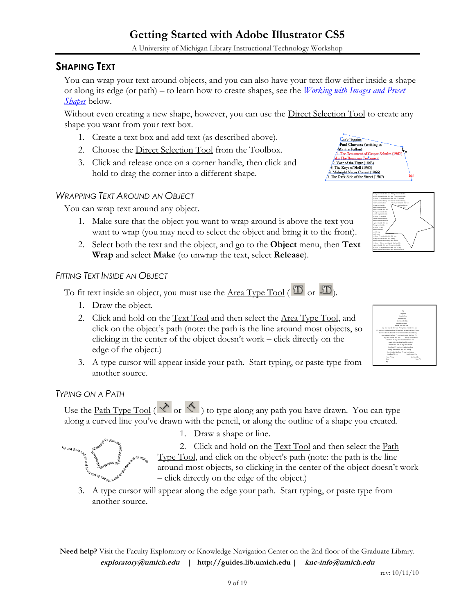A University of Michigan Library Instructional Technology Workshop

#### **SHAPING TEXT**

You can wrap your text around objects, and you can also have your text flow either inside a shape or along its edge (or path) – to learn how to create shapes, see the *[Working with Images and Preset](#page-10-0)  [Shapes](#page-10-0)* below.

Without even creating a new shape, however, you can use the Direct Selection Tool to create any shape you want from your text box.

- 1. Create a text box and add text (as described above).
- 2. Choose the Direct Selection Tool from the Toolbox.
- 3. Click and release once on a corner handle, then click and hold to drag the corner into a different shape.

#### *WRAPPING TEXT AROUND AN OBJECT*

You can wrap text around any object.

- 1. Make sure that the object you want to wrap around is above the text you want to wrap (you may need to select the object and bring it to the front).
- 2. Select both the text and the object, and go to the **Object** menu, then **Text Wrap** and select **Make** (to unwrap the text, select **Release**).

#### *FITTING TEXT INSIDE AN OBJECT*

To fit text inside an object, you must use the <u>Area Type Tool</u> ( $\overline{\mathbf{T}}$  or  $\overline{\mathbf{T}}$ ).

- 1. Draw the object.
- 2. Click and hold on the Text Tool and then select the Area Type Tool, and click on the object's path (note: the path is the line around most objects, so clicking in the center of the object doesn't work – click directly on the edge of the object.)
- 3. A type cursor will appear inside your path. Start typing, or paste type from another source.

#### *TYPING ON A PATH*

Use the <u>Path Type Tool</u> ( $\checkmark$  or  $\checkmark$ ) to type along any path you have drawn. You can type along a curved line you've drawn with the pencil, or along the outline of a shape you created.



1. Draw a shape or line.

2. Click and hold on the Text Tool and then select the Path Type Tool, and click on the object's path (note: the path is the line around most objects, so clicking in the center of the object doesn't work – click directly on the edge of the object.)

3. A type cursor will appear along the edge your path. Start typing, or paste type from another source.

**Need help?** Visit the Faculty Exploratory or Knowledge Navigation Center on the 2nd floor of the Graduate Library. **exploratory@umich.edu | http://guides.lib.umich.edu | knc-info@umich.edu**



 $ultz$  (196

text inside this box Fit my text inside this box

ack Higgins Paul Chavasse (writing as rtin Fallon)

ar of the Tiger (1963) 3. The Keys of Hell (1965)<br>  $\overrightarrow{AB}$  Midnight Never Comes (1966)<br>  $\overrightarrow{AB}$  The Dark Side of the Street (1967)

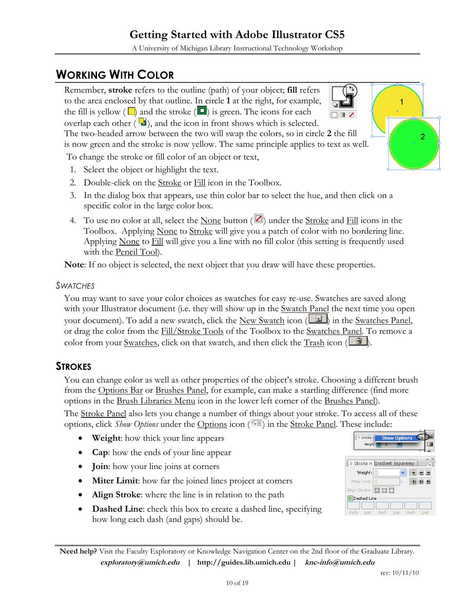A University of Michigan Library Instructional Technology Workshop

# <span id="page-9-0"></span>**WORKING WITH COLOR**

Remember, **stroke** refers to the outline (path) of your object; **fill** refers to the area enclosed by that outline. In circle **1** at the right, for example, the fill is yellow ( $\Box$ ) and the stroke ( $\Box$ ) is green. The icons for each overlap each other  $(\Box)$ , and the icon in front shows which is selected.

The two-headed arrow between the two will swap the colors, so in circle **2** the fill is now green and the stroke is now yellow. The same principle applies to text as well.

To change the stroke or fill color of an object or text,

- 1. Select the object or highlight the text.
- 2. Double-click on the Stroke or Fill icon in the Toolbox.
- 3. In the dialog box that appears, use thin color bar to select the hue, and then click on a specific color in the large color box.
- 4. To use no color at all, select the None button ( $\blacksquare$ ) under the Stroke and Fill icons in the Toolbox. Applying None to Stroke will give you a patch of color with no bordering line. Applying None to Fill will give you a line with no fill color (this setting is frequently used with the Pencil Tool).

**Note**: If no object is selected, the next object that you draw will have these properties.

#### *SWATCHES*

You may want to save your color choices as swatches for easy re-use. Swatches are saved along with your Illustrator document (i.e. they will show up in the <u>Swatch Panel</u> the next time you open your document). To add a new swatch, click the New Swatch icon  $(\Box)$  in the Swatches Panel, or drag the color from the Fill/Stroke Tools of the Toolbox to the Swatches Panel. To remove a color from your Swatches, click on that swatch, and then click the Trash icon  $(\Box \mathbb{B})$ .

#### **STROKES**

You can change color as well as other properties of the object's stroke. Choosing a different brush from the Options Bar or Brushes Panel, for example, can make a startling difference (find more options in the Brush Libraries Menu icon in the lower left corner of the Brushes Panel).

The Stroke Panel also lets you change a number of things about your stroke. To access all of these options, click *Show Options* under the Options icon ( $\overline{\overline{z}}$ ) in the <u>Stroke Panel</u>. These include:

- **Weight**: how thick your line appears
- **Cap**: how the ends of your line appear
- **Join**: how your line joins at corners
- **Miter Limit**: how far the joined lines project at corners
- **Align Stroke**: where the line is in relation to the path
- **Dashed Line**: check this box to create a dashed line, specifying how long each dash (and gaps) should be.

**Need help?** Visit the Faculty Exploratory or Knowledge Navigation Center on the 2nd floor of the Graduate Library. **exploratory@umich.edu | http://guides.lib.umich.edu | knc-info@umich.edu**

10 of 19

**Show Options** 

 $\Box$  $\subseteq$  $\Box$ 

同情子

 $\circ$  Stroke  $\times$  Gradient sparency

Weight:

Align Stroke: <mark>面貫貫</mark> Dashed Line je je gap dash gap

Miter Limit:

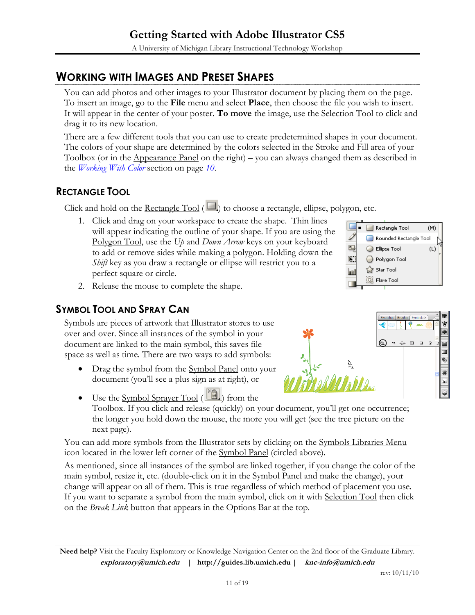# <span id="page-10-0"></span>**WORKING WITH IMAGES AND PRESET SHAPES**

You can add photos and other images to your Illustrator document by placing them on the page. To insert an image, go to the **File** menu and select **Place**, then choose the file you wish to insert. It will appear in the center of your poster. **To move** the image, use the Selection Tool to click and drag it to its new location.

There are a few different tools that you can use to create predetermined shapes in your document. The colors of your shape are determined by the colors selected in the <u>Stroke</u> and Fill area of your Toolbox (or in the Appearance Panel on the right) – you can always changed them as described in the *[Working With Color](#page-9-0)* section on page *[10](#page-9-0)*.

### **RECTANGLE TOOL**

Click and hold on the <u>Rectangle Tool</u> ( $\Box$ ) to choose a rectangle, ellipse, polygon, etc.

1. Click and drag on your workspace to create the shape. Thin lines will appear indicating the outline of your shape. If you are using the Polygon Tool, use the *Up* and *Down Arrow* keys on your keyboard to add or remove sides while making a polygon. Holding down the *Shift* key as you draw a rectangle or ellipse will restrict you to a perfect square or circle.



2. Release the mouse to complete the shape.

#### **SYMBOL TOOL AND SPRAY CAN**

Symbols are pieces of artwork that Illustrator stores to use over and over. Since all instances of the symbol in your document are linked to the main symbol, this saves file space as well as time. There are two ways to add symbols:

• Drag the symbol from the Symbol Panel onto your document (you'll see a plus sign as at right), or



 $\bullet$  Use the Symbol Sprayer Tool ( $\Box$ ) from the Toolbox. If you click and release (quickly) on your document, you'll get one occurrence; the longer you hold down the mouse, the more you will get (see the tree picture on the next page).

You can add more symbols from the Illustrator sets by clicking on the Symbols Libraries Menu icon located in the lower left corner of the Symbol Panel (circled above).

As mentioned, since all instances of the symbol are linked together, if you change the color of the main symbol, resize it, etc. (double-click on it in the Symbol Panel and make the change), your change will appear on all of them. This is true regardless of which method of placement you use. If you want to separate a symbol from the main symbol, click on it with Selection Tool then click on the *Break Link* button that appears in the Options Bar at the top.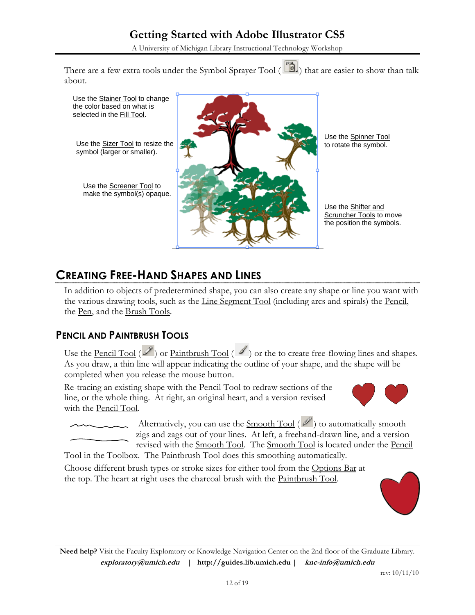A University of Michigan Library Instructional Technology Workshop

There are a few extra tools under the Symbol Sprayer Tool (Bull) that are easier to show than talk about.



## **CREATING FREE-HAND SHAPES AND LINES**

In addition to objects of predetermined shape, you can also create any shape or line you want with the various drawing tools, such as the Line Segment Tool (including arcs and spirals) the Pencil, the Pen, and the Brush Tools.

#### **PENCIL AND PAINTBRUSH TOOLS**

Use the <u>Pencil Tool</u> ( $\mathscr{D}$ ) or <u>Paintbrush Tool</u> ( $\mathscr{D}$ ) or the to create free-flowing lines and shapes. As you draw, a thin line will appear indicating the outline of your shape, and the shape will be completed when you release the mouse button.

Re-tracing an existing shape with the Pencil Tool to redraw sections of the line, or the whole thing. At right, an original heart, and a version revised with the Pencil Tool.



Alternatively, you can use the Smooth Tool  $(\mathbb{Z})$  to automatically smooth zigs and zags out of your lines. At left, a freehand-drawn line, and a version revised with the Smooth Tool. The Smooth Tool is located under the Pencil

Tool in the Toolbox. The Paintbrush Tool does this smoothing automatically.

Choose different brush types or stroke sizes for either tool from the Options Bar at the top. The heart at right uses the charcoal brush with the Paintbrush Tool.

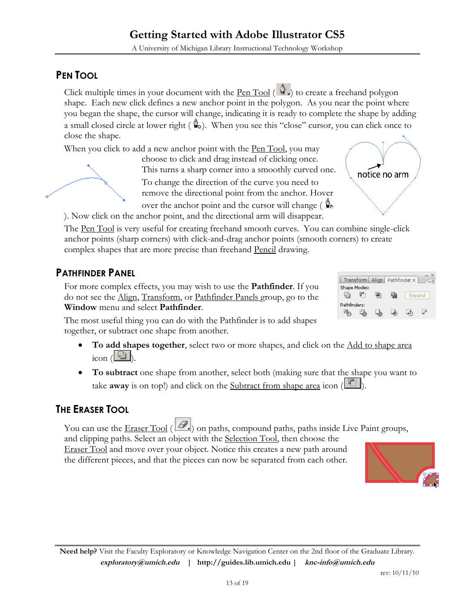**Need help?** Visit the Faculty Exploratory or Knowledge Navigation Center on the 2nd floor of the Graduate Library. **exploratory@umich.edu | http://guides.lib.umich.edu | knc-info@umich.edu**

### **PEN TOOL**

Click multiple times in your document with the Pen Tool  $(\mathcal{P})$  to create a freehand polygon shape. Each new click defines a new anchor point in the polygon. As you near the point where you began the shape, the cursor will change, indicating it is ready to complete the shape by adding a small closed circle at lower right  $(\⊂>o)$ . When you see this "close" cursor, you can click once to close the shape.

When you click to add a new anchor point with the Pen Tool, you may

choose to click and drag instead of clicking once. This turns a sharp corner into a smoothly curved one. To change the direction of the curve you need to remove the directional point from the anchor. Hover

over the anchor point and the cursor will change ( $\mathbb{Q}_p$ ) ). Now click on the anchor point, and the directional arm will disappear.

The Pen Tool is very useful for creating freehand smooth curves. You can combine single-click anchor points (sharp corners) with click-and-drag anchor points (smooth corners) to create complex shapes that are more precise than freehand Pencil drawing.

## **PATHFINDER PANEL**

For more complex effects, you may wish to use the **Pathfinder**. If you do not see the Align, Transform, or Pathfinder Panels group, go to the **Window** menu and select **Pathfinder**.

The most useful thing you can do with the Pathfinder is to add shapes together, or subtract one shape from another.

- **To add shapes together**, select two or more shapes, and click on the Add to shape area  $\frac{1}{\cosh(\ln x)}$ .
- **To subtract** one shape from another, select both (making sure that the shape you want to take **away** is on top!) and click on the **Subtract** from shape area icon  $(\Box)$ .

### **THE ERASER TOOL**

You can use the Eraser Tool  $(\mathcal{L})$  on paths, compound paths, paths inside Live Paint groups, and clipping paths. Select an object with the Selection Tool, then choose the Eraser Tool and move over your object. Notice this creates a new path around the different pieces, and that the pieces can now be separated from each other.



囤



rev: 10/11/10







notice no arm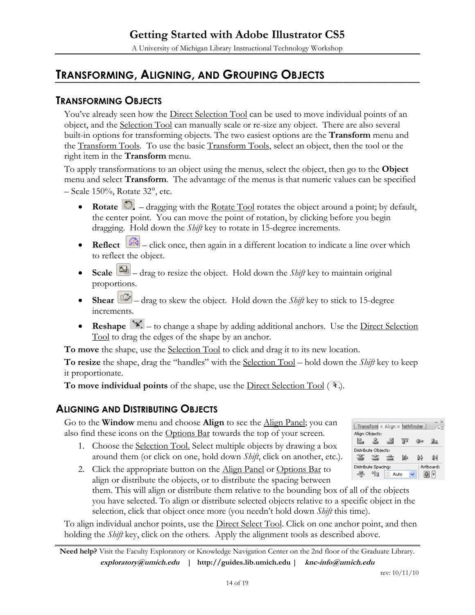# **TRANSFORMING, ALIGNING, AND GROUPING OBJECTS**

#### **TRANSFORMING OBJECTS**

You've already seen how the Direct Selection Tool can be used to move individual points of an object, and the Selection Tool can manually scale or re-size any object. There are also several built-in options for transforming objects. The two easiest options are the **Transform** menu and the Transform Tools. To use the basic Transform Tools, select an object, then the tool or the right item in the **Transform** menu.

To apply transformations to an object using the menus, select the object, then go to the **Object** menu and select **Transform**. The advantage of the menus is that numeric values can be specified  $-$  Scale 150%, Rotate 32°, etc.

- **Rotate**  $\bigcirc$  dragging with the Rotate Tool rotates the object around a point; by default, the center point. You can move the point of rotation, by clicking before you begin dragging. Hold down the *Shift* key to rotate in 15-degree increments.
- **Reflect**  $\boxed{8}$  click once, then again in a different location to indicate a line over which to reflect the object.
- Scale  $\boxed{\phantom{1}$  drag to resize the object. Hold down the *Shift* key to maintain original proportions.
- **Shear**  $\boxed{12}$  drag to skew the object. Hold down the *Shift* key to stick to 15-degree increments.
- **Reshape**  $\mathbb{X}$  to change a shape by adding additional anchors. Use the <u>Direct Selection</u> Tool to drag the edges of the shape by an anchor.

**To move** the shape, use the Selection Tool to click and drag it to its new location.

**To resize** the shape, drag the "handles" with the Selection Tool – hold down the *Shift* key to keep it proportionate.

**To move individual points** of the shape, use the <u>Direct Selection Tool</u> ( $\lambda$ ).

#### **ALIGNING AND DISTRIBUTING OBJECTS**

Go to the **Window** menu and choose **Align** to see the Align Panel; you can also find these icons on the Options Bar towards the top of your screen.

1. Choose the Selection Tool. Select multiple objects by drawing a box around them (or click on one, hold down *Shift*, click on another, etc.).



2. Click the appropriate button on the Align Panel or Options Bar to align or distribute the objects, or to distribute the spacing between

them. This will align or distribute them relative to the bounding box of all of the objects you have selected. To align or distribute selected objects relative to a specific object in the selection, click that object once more (you needn't hold down *Shift* this time).

To align individual anchor points, use the Direct Select Tool. Click on one anchor point, and then holding the *Shift* key, click on the others. Apply the alignment tools as described above.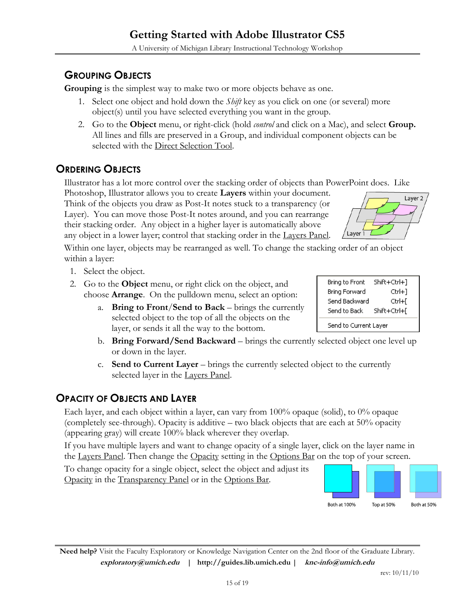# **GROUPING OBJECTS**

**Grouping** is the simplest way to make two or more objects behave as one.

- 1. Select one object and hold down the *Shift* key as you click on one (or several) more object(s) until you have selected everything you want in the group.
- 2. Go to the **Object** menu, or right-click (hold *control* and click on a Mac), and select **Group.** All lines and fills are preserved in a Group, and individual component objects can be selected with the Direct Selection Tool.

# **ORDERING OBJECTS**

Illustrator has a lot more control over the stacking order of objects than PowerPoint does. Like

Photoshop, Illustrator allows you to create **Layers** within your document. Think of the objects you draw as Post-It notes stuck to a transparency (or Layer). You can move those Post-It notes around, and you can rearrange their stacking order. Any object in a higher layer is automatically above any object in a lower layer; control that stacking order in the Layers Panel.

Within one layer, objects may be rearranged as well. To change the stacking order of an object within a layer:

- 1. Select the object.
- 2. Go to the **Object** menu, or right click on the object, and choose **Arrange**. On the pulldown menu, select an option:
	- a. **Bring to Front**/**Send to Back** brings the currently selected object to the top of all the objects on the layer, or sends it all the way to the bottom.
	- b. **Bring Forward/Send Backward** brings the currently selected object one level up or down in the layer.
	- c. **Send to Current Layer** brings the currently selected object to the currently selected layer in the Layers Panel.

### **OPACITY OF OBJECTS AND LAYER**

Each layer, and each object within a layer, can vary from 100% opaque (solid), to 0% opaque (completely see-through). Opacity is additive – two black objects that are each at 50% opacity (appearing gray) will create 100% black wherever they overlap.

If you have multiple layers and want to change opacity of a single layer, click on the layer name in the Layers Panel. Then change the Opacity setting in the Options Bar on the top of your screen.

To change opacity for a single object, select the object and adjust its Opacity in the Transparency Panel or in the Options Bar.



Layer



| Bring to Front        | Shift+Ctrl+1 |  |
|-----------------------|--------------|--|
| Bring Forward         | Ctrl+1       |  |
| 5end Backward         | Ctrl+l       |  |
| Send to Back.         | Shift+Ctrl+l |  |
| 5end to Current Layer |              |  |

Layer 2

**Need help?** Visit the Faculty Exploratory or Knowledge Navigation Center on the 2nd floor of the Graduate Library. **exploratory@umich.edu | http://guides.lib.umich.edu | knc-info@umich.edu**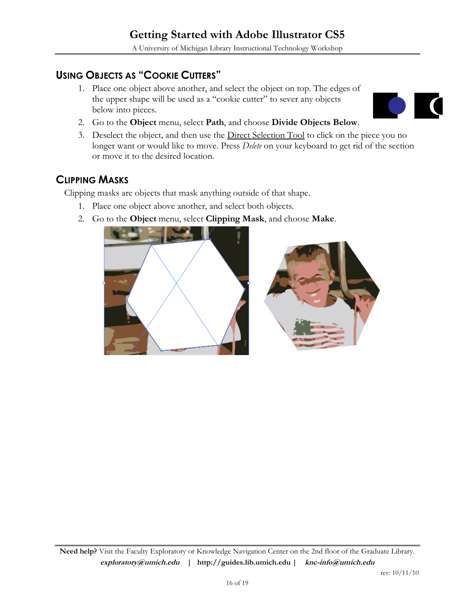#### **USING OBJECTS AS "COOKIE CUTTERS"**

1. Place one object above another, and select the object on top. The edges of the upper shape will be used as a "cookie cutter" to sever any objects below into pieces.



- 2. Go to the **Object** menu, select **Path**, and choose **Divide Objects Below**.
- 3. Deselect the object, and then use the Direct Selection Tool to click on the piece you no longer want or would like to move. Press *Delete* on your keyboard to get rid of the section or move it to the desired location.

#### **CLIPPING MASKS**

Clipping masks are objects that mask anything outside of that shape.

- 1. Place one object above another, and select both objects.
- 2. Go to the **Object** menu, select **Clipping Mask**, and choose **Make**.

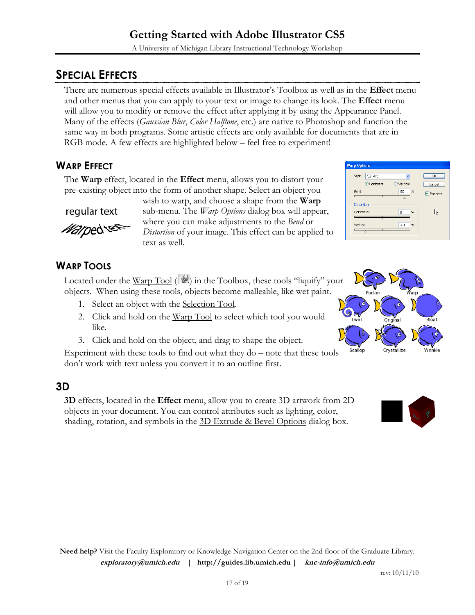# **SPECIAL EFFECTS**

There are numerous special effects available in Illustrator's Toolbox as well as in the **Effect** menu and other menus that you can apply to your text or image to change its look. The **Effect** menu will allow you to modify or remove the effect after applying it by using the Appearance Panel. Many of the effects (*Gaussian Blur*, *Color Halftone*, etc.) are native to Photoshop and function the same way in both programs. Some artistic effects are only available for documents that are in RGB mode. A few effects are highlighted below – feel free to experiment!

### **WARP EFFECT**

The **Warp** effect, located in the **Effect** menu, allows you to distort your pre-existing object into the form of another shape. Select an object you

regular text

*Mar*ped S

wish to warp, and choose a shape from the **Warp** sub-menu. The *Warp Options* dialog box will appear, where you can make adjustments to the *Bend* or *Distortion* of your image. This effect can be applied to text as well.

| <b>Warp Options</b>                        |         |
|--------------------------------------------|---------|
| Style:<br>C7 Arc                           | OK      |
| Horizontal<br>$O$ Vertical                 | Cancel  |
| Bend:<br>%<br>80                           | Preview |
| <b>Distortion</b><br>Horizontal:<br>%<br>Ō | ド       |
| Vertical:<br>$\frac{9}{6}$<br>$-61$        |         |

### **WARP TOOLS**

Located under the Warp Tool ( $|\Psi\rangle$ ) in the Toolbox, these tools "liquify" your objects. When using these tools, objects become malleable, like wet paint.

- 1. Select an object with the Selection Tool.
- 2. Click and hold on the Warp Tool to select which tool you would like.
- 3. Click and hold on the object, and drag to shape the object.

Experiment with these tools to find out what they do – note that these tools don't work with text unless you convert it to an outline first.

### **3D**

**3D** effects, located in the **Effect** menu, allow you to create 3D artwork from 2D objects in your document. You can control attributes such as lighting, color, shading, rotation, and symbols in the 3D Extrude & Bevel Options dialog box.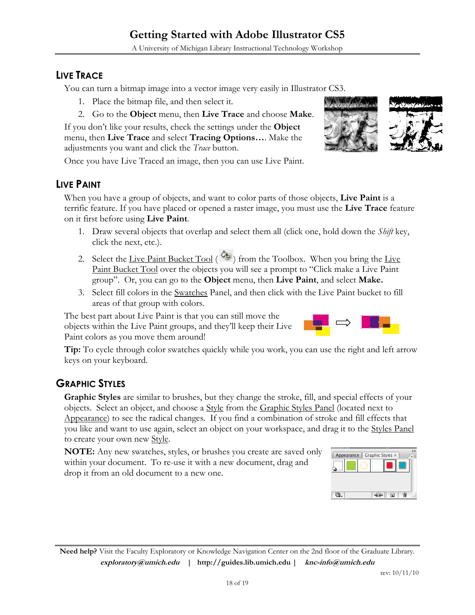### **LIVE TRACE**

You can turn a bitmap image into a vector image very easily in Illustrator CS3.

- 1. Place the bitmap file, and then select it.
- 2. Go to the **Object** menu, then **Live Trace** and choose **Make**.

If you don't like your results, check the settings under the **Object** menu, then **Live Trace** and select **Tracing Options…**. Make the adjustments you want and click the *Trace* button.

Once you have Live Traced an image, then you can use Live Paint.

#### **LIVE PAINT**

When you have a group of objects, and want to color parts of those objects, **Live Paint** is a terrific feature. If you have placed or opened a raster image, you must use the **Live Trace** feature on it first before using **Live Paint**.

- 1. Draw several objects that overlap and select them all (click one, hold down the *Shift* key, click the next, etc.).
- 2. Select the Live Paint Bucket Tool ( $\frac{q_{\text{th}}}{q}$ ) from the Toolbox. When you bring the Live Paint Bucket Tool over the objects you will see a prompt to "Click make a Live Paint group". Or, you can go to the **Object** menu, then **Live Paint**, and select **Make.**
- 3. Select fill colors in the Swatches Panel, and then click with the Live Paint bucket to fill areas of that group with colors.

The best part about Live Paint is that you can still move the objects within the Live Paint groups, and they'll keep their Live Paint colors as you move them around!

**Tip:** To cycle through color swatches quickly while you work, you can use the right and left arrow keys on your keyboard.

### **GRAPHIC STYLES**

**Graphic Styles** are similar to brushes, but they change the stroke, fill, and special effects of your objects. Select an object, and choose a Style from the Graphic Styles Panel (located next to Appearance) to see the radical changes. If you find a combination of stroke and fill effects that you like and want to use again, select an object on your workspace, and drag it to the **Styles Panel** to create your own new Style.

**NOTE:** Any new swatches, styles, or brushes you create are saved only within your document. To re-use it with a new document, drag and drop it from an old document to a new one.

**Need help?** Visit the Faculty Exploratory or Knowledge Navigation Center on the 2nd floor of the Graduate Library. **exploratory@umich.edu | http://guides.lib.umich.edu | knc-info@umich.edu**

 $|\mathcal{L}| = |\mathcal{L}|$ 



Appearance | Graphic Styles

 $\overline{\mathbf{u}}$  .